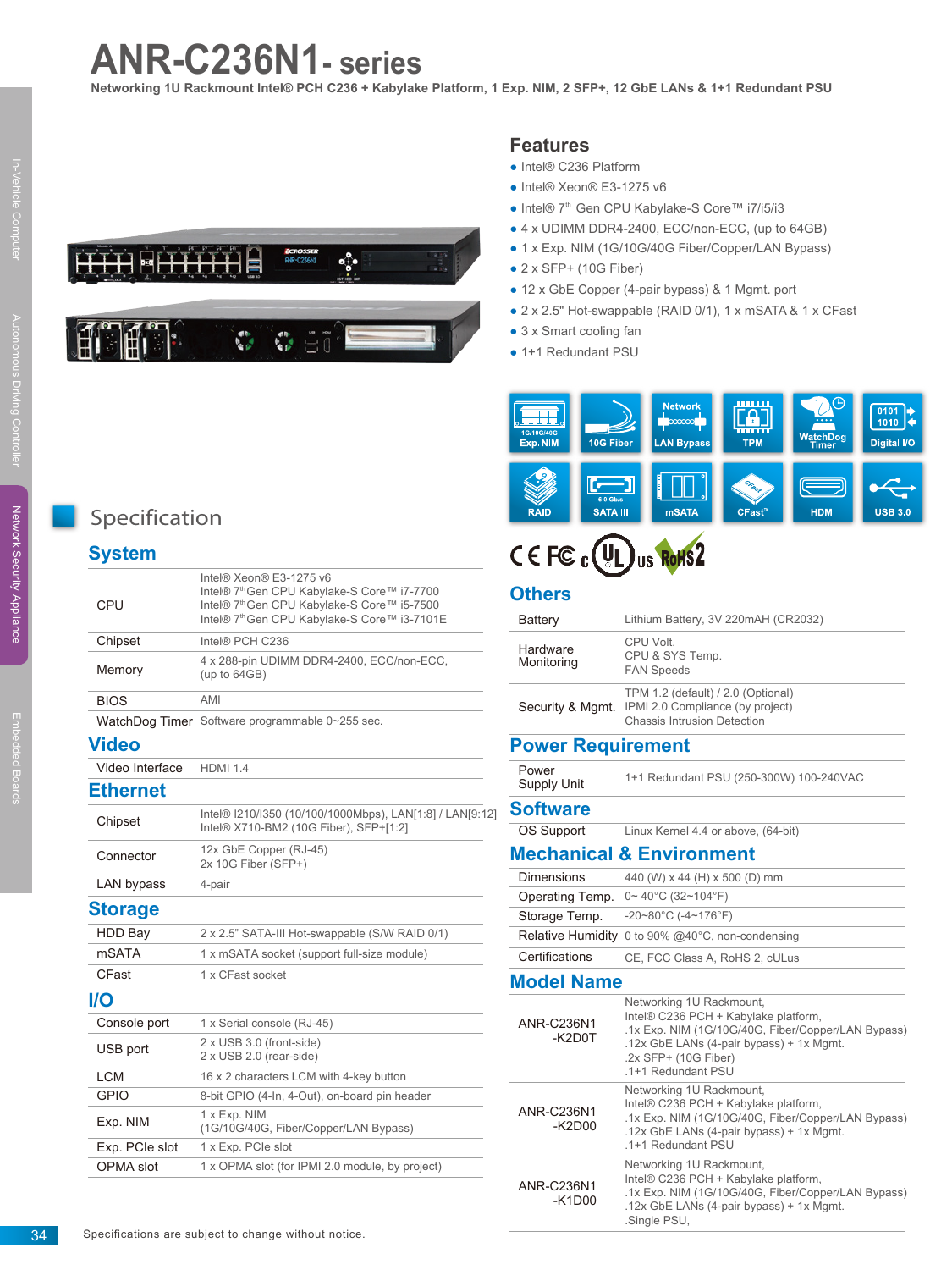# **ANR-C236N1- series**

**Networking 1U Rackmount Intel® PCH C236 + Kabylake Platform, 1 Exp. NIM, 2 SFP+, 12 GbE LANs & 1+1 Redundant PSU**



### **Features**

- Intel® C236 Platform
- Intel® Xeon® E3-1275 v6
- Intel® 7<sup>th</sup> Gen CPU Kabylake-S Core™ i7/i5/i3
- 4 x UDIMM DDR4-2400, ECC/non-ECC, (up to 64GB)
- 1 x Exp. NIM (1G/10G/40G Fiber/Copper/LAN Bypass)
- $\bullet$  2 x SFP+ (10G Fiber)
- 12 x GbE Copper (4-pair bypass) & 1 Mgmt. port
- 2 x 2.5" Hot-swappable (RAID 0/1), 1 x mSATA & 1 x CFast
- 3 x Smart cooling fan
- 1+1 Redundant PSU



# CEFC<sub>c</sub>(UL)<sub>us</sub> RoHS2

#### **Others**

| umers                         |                                                                                                                                                                                                                  |
|-------------------------------|------------------------------------------------------------------------------------------------------------------------------------------------------------------------------------------------------------------|
| Battery                       | Lithium Battery, 3V 220mAH (CR2032)                                                                                                                                                                              |
| Hardware<br>Monitoring        | CPU Volt.<br>CPU & SYS Temp.<br><b>FAN Speeds</b>                                                                                                                                                                |
| Security & Mgmt.              | TPM 1.2 (default) / 2.0 (Optional)<br>IPMI 2.0 Compliance (by project)<br><b>Chassis Intrusion Detection</b>                                                                                                     |
| <b>Power Requirement</b>      |                                                                                                                                                                                                                  |
| Power<br>Supply Unit          | 1+1 Redundant PSU (250-300W) 100-240VAC                                                                                                                                                                          |
| <b>Software</b>               |                                                                                                                                                                                                                  |
| <b>OS Support</b>             | Linux Kernel 4.4 or above, (64-bit)                                                                                                                                                                              |
|                               | <b>Mechanical &amp; Environment</b>                                                                                                                                                                              |
| Dimensions                    | 440 (W) x 44 (H) x 500 (D) mm                                                                                                                                                                                    |
| Operating Temp.               | $0 \sim 40^{\circ}$ C (32~104°F)                                                                                                                                                                                 |
| Storage Temp.                 | $-20-80^{\circ}$ C ( $-4-176^{\circ}$ F)                                                                                                                                                                         |
|                               | Relative Humidity 0 to 90% @40°C, non-condensing                                                                                                                                                                 |
| Certifications                | CE, FCC Class A, RoHS 2, cULus                                                                                                                                                                                   |
| <b>Model Name</b>             |                                                                                                                                                                                                                  |
| <b>ANR-C236N1</b><br>-K2D0T   | Networking 1U Rackmount,<br>Intel® C236 PCH + Kabylake platform,<br>.1x Exp. NIM (1G/10G/40G, Fiber/Copper/LAN Bypass)<br>.12x GbE LANs (4-pair bypass) + 1x Mgmt.<br>.2x SFP+ (10G Fiber)<br>.1+1 Redundant PSU |
| ANR-C236N1<br>$-K2D00$        | Networking 1U Rackmount,<br>Intel® C236 PCH + Kabylake platform,<br>.1x Exp. NIM (1G/10G/40G, Fiber/Copper/LAN Bypass)<br>.12x GbE LANs (4-pair bypass) + 1x Mgmt.<br>.1+1 Redundant PSU                         |
| <b>ANR-C236N1</b><br>$-K1D00$ | Networking 1U Rackmount,<br>Intel® C236 PCH + Kabylake platform,<br>.1x Exp. NIM (1G/10G/40G, Fiber/Copper/LAN Bypass)<br>.12x GbE LANs (4-pair bypass) + 1x Mgmt.                                               |

.Single PSU,

# Specification

## **System**

| CPU         | Intel® $Xe$ on® E3-1275 v6<br>Intel® 7 <sup>th</sup> Gen CPU Kabylake-S Core™ i7-7700<br>Intel® 7 <sup>th</sup> Gen CPU Kabylake-S Core™ i5-7500<br>Intel® 7 <sup>th</sup> Gen CPU Kabylake-S Core™ i3-7101E |  |
|-------------|--------------------------------------------------------------------------------------------------------------------------------------------------------------------------------------------------------------|--|
| Chipset     | Intel® PCH C236                                                                                                                                                                                              |  |
| Memory      | 4 x 288-pin UDIMM DDR4-2400, ECC/non-ECC,<br>(up to $64GB$ )                                                                                                                                                 |  |
| <b>BIOS</b> | AMI                                                                                                                                                                                                          |  |
|             | WatchDog Timer Software programmable 0~255 sec.                                                                                                                                                              |  |

#### **Video**

Video Interface HDMI 1.4

### **Ethernet**

| Luisiilist       |                                                                                                    |  |
|------------------|----------------------------------------------------------------------------------------------------|--|
| Chipset          | Intel® I210/I350 (10/100/1000Mbps), LAN[1:8] / LAN[9:12]<br>Intel® X710-BM2 (10G Fiber), SFP+[1:2] |  |
| Connector        | 12x GbE Copper (RJ-45)<br>2x 10G Fiber (SFP+)                                                      |  |
| LAN bypass       | 4-pair                                                                                             |  |
| <b>Storage</b>   |                                                                                                    |  |
| <b>HDD Bay</b>   | 2 x 2.5" SATA-III Hot-swappable (S/W RAID 0/1)                                                     |  |
| mSATA            | 1 x mSATA socket (support full-size module)                                                        |  |
| CFast            | 1 x CFast socket                                                                                   |  |
| I/O              |                                                                                                    |  |
| Console port     | 1 x Serial console (RJ-45)                                                                         |  |
| USB port         | 2 x USB 3.0 (front-side)<br>2 x USB 2.0 (rear-side)                                                |  |
| LCM              | 16 x 2 characters LCM with 4-key button                                                            |  |
| <b>GPIO</b>      | 8-bit GPIO (4-In, 4-Out), on-board pin header                                                      |  |
| Exp. NIM         | 1 x Exp. NIM<br>(1G/10G/40G, Fiber/Copper/LAN Bypass)                                              |  |
| Exp. PCIe slot   | 1 x Exp. PCIe slot                                                                                 |  |
| <b>OPMA</b> slot | 1 x OPMA slot (for IPMI 2.0 module, by project)                                                    |  |

In-Vehicle Computer